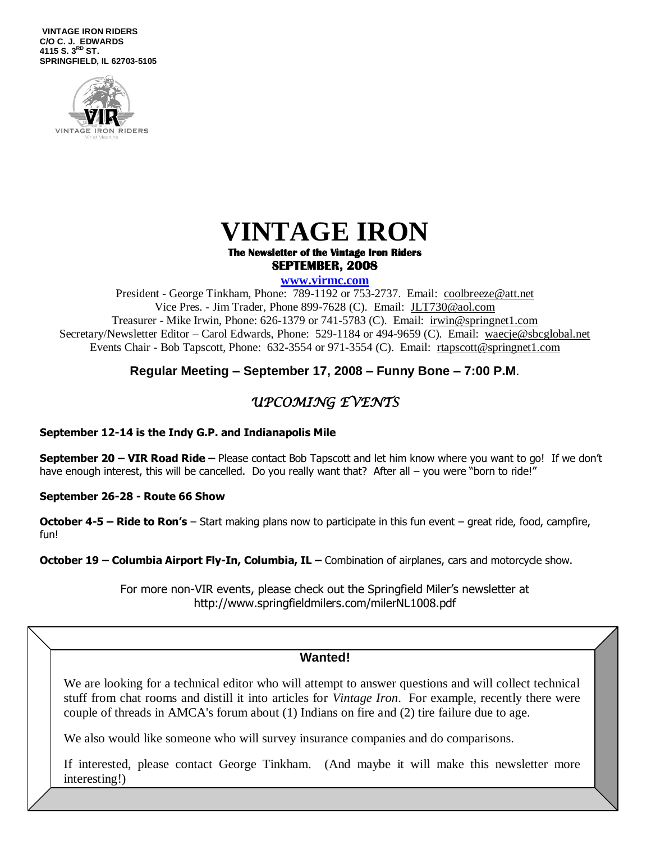**VINTAGE IRON RIDERS C/O C. J. EDWARDS 4115 S. 3 RD ST. SPRINGFIELD, IL 62703-5105**





#### **The Newsletter of the Vintage Iron Riders SEPTEMBER, 2008**

**www.virmc.com** 

President - George Tinkham, Phone: 789-1192 or 753-2737. Email: [coolbreeze@att.net](mailto:coolbreeze@att.net) Vice Pres. - Jim Trader, Phone 899-7628 (C). Email: [JLT730@aol.com](mailto:JLT730@aol.com) Treasurer - Mike Irwin, Phone: 626-1379 or 741-5783 (C). Email: irwin@springnet1.com Secretary/Newsletter Editor – Carol Edwards, Phone: 529-1184 or 494-9659 (C). Email: waecje@sbcglobal.net Events Chair - Bob Tapscott, Phone: 632-3554 or 971-3554 (C). Email: [rtapscott@springnet1.com](mailto:rtapscott@springnet1.com)

## **Regular Meeting – September 17, 2008 – Funny Bone – 7:00 P.M**.

## *UPCOMING EVENTS*

#### **September 12-14 is the Indy G.P. and Indianapolis Mile**

**September 20 – VIR Road Ride –** Please contact Bob Tapscott and let him know where you want to go! If we don't have enough interest, this will be cancelled. Do you really want that? After all – you were "born to ride!"

**September 26-28 - Route 66 Show**

**October 4-5 – Ride to Ron's** – Start making plans now to participate in this fun event – great ride, food, campfire, fun!

**October 19 – Columbia Airport Fly-In, Columbia, IL – Combination of airplanes, cars and motorcycle show.** 

For more non-VIR events, please check out the Springfield Miler's newsletter at http://www.springfieldmilers.com/milerNL1008.pdf

### **Wanted!**

We are looking for a technical editor who will attempt to answer questions and will collect technical stuff from chat rooms and distill it into articles for *Vintage Iron*. For example, recently there were couple of threads in AMCA's forum about (1) Indians on fire and (2) tire failure due to age.

We also would like someone who will survey insurance companies and do comparisons.

If interested, please contact George Tinkham. (And maybe it will make this newsletter more interesting!)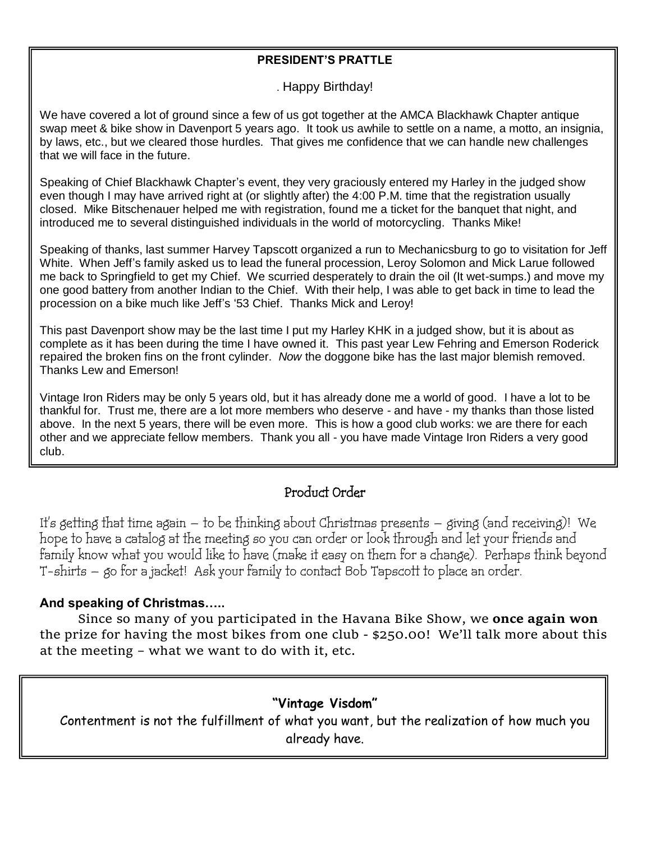### **PRESIDENT'S PRATTLE**

. Happy Birthday!

We have covered a lot of ground since a few of us got together at the AMCA Blackhawk Chapter antique swap meet & bike show in Davenport 5 years ago. It took us awhile to settle on a name, a motto, an insignia, by laws, etc., but we cleared those hurdles. That gives me confidence that we can handle new challenges that we will face in the future.

Speaking of Chief Blackhawk Chapter's event, they very graciously entered my Harley in the judged show even though I may have arrived right at (or slightly after) the 4:00 P.M. time that the registration usually closed. Mike Bitschenauer helped me with registration, found me a ticket for the banquet that night, and introduced me to several distinguished individuals in the world of motorcycling. Thanks Mike!

Speaking of thanks, last summer Harvey Tapscott organized a run to Mechanicsburg to go to visitation for Jeff White. When Jeff's family asked us to lead the funeral procession, Leroy Solomon and Mick Larue followed me back to Springfield to get my Chief. We scurried desperately to drain the oil (It wet-sumps.) and move my one good battery from another Indian to the Chief. With their help, I was able to get back in time to lead the procession on a bike much like Jeff's '53 Chief. Thanks Mick and Leroy!

This past Davenport show may be the last time I put my Harley KHK in a judged show, but it is about as complete as it has been during the time I have owned it. This past year Lew Fehring and Emerson Roderick repaired the broken fins on the front cylinder. *Now* the doggone bike has the last major blemish removed. Thanks Lew and Emerson!

Vintage Iron Riders may be only 5 years old, but it has already done me a world of good. I have a lot to be thankful for. Trust me, there are a lot more members who deserve - and have - my thanks than those listed above. In the next 5 years, there will be even more. This is how a good club works: we are there for each other and we appreciate fellow members. Thank you all - you have made Vintage Iron Riders a very good club.

## Product Order

It's getting that time again – to be thinking about Christmas presents – giving (and receiving)! We hope to have a catalog at the meeting so you can order or look through and let your friends and family know what you would like to have (make it easy on them for a change). Perhaps think beyond T-shirts – go for a jacket! Ask your family to contact Bob Tapscott to place an order.

## **And speaking of Christmas…..**

Since so many of you participated in the Havana Bike Show, we **once again won** the prize for having the most bikes from one club - \$250.00! We'll talk more about this at the meeting – what we want to do with it, etc.

## **"Vintage Visdom"**

Contentment is not the fulfillment of what you want, but the realization of how much you already have.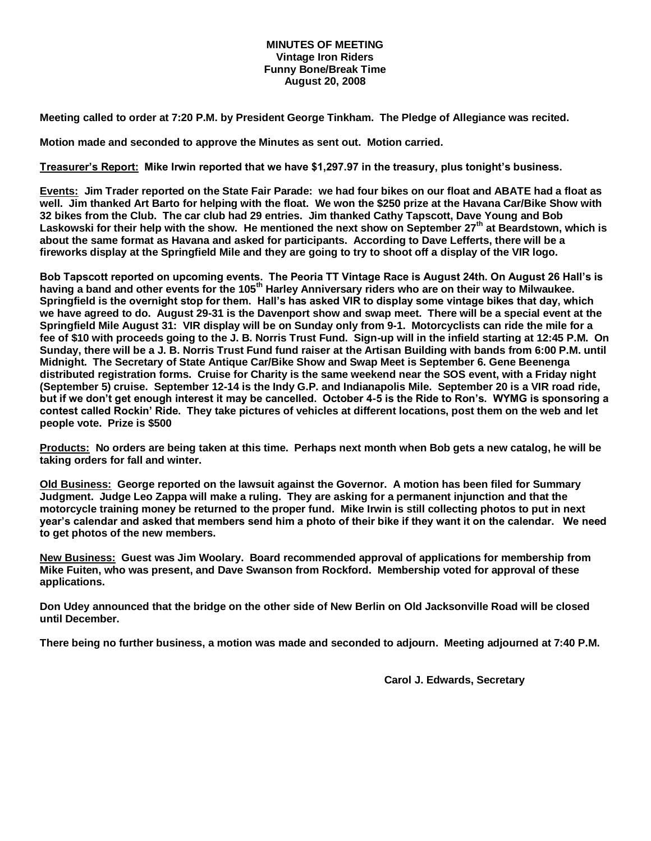#### **MINUTES OF MEETING Vintage Iron Riders Funny Bone/Break Time August 20, 2008**

**Meeting called to order at 7:20 P.M. by President George Tinkham. The Pledge of Allegiance was recited.**

**Motion made and seconded to approve the Minutes as sent out. Motion carried.**

**Treasurer's Report: Mike Irwin reported that we have \$1,297.97 in the treasury, plus tonight's business.**

**Events: Jim Trader reported on the State Fair Parade: we had four bikes on our float and ABATE had a float as well. Jim thanked Art Barto for helping with the float. We won the \$250 prize at the Havana Car/Bike Show with 32 bikes from the Club. The car club had 29 entries. Jim thanked Cathy Tapscott, Dave Young and Bob Laskowski for their help with the show. He mentioned the next show on September 27th at Beardstown, which is about the same format as Havana and asked for participants. According to Dave Lefferts, there will be a fireworks display at the Springfield Mile and they are going to try to shoot off a display of the VIR logo.**

**Bob Tapscott reported on upcoming events. The Peoria TT Vintage Race is August 24th. On August 26 Hall's is having a band and other events for the 105th Harley Anniversary riders who are on their way to Milwaukee. Springfield is the overnight stop for them. Hall's has asked VIR to display some vintage bikes that day, which we have agreed to do. August 29-31 is the Davenport show and swap meet. There will be a special event at the Springfield Mile August 31: VIR display will be on Sunday only from 9-1. Motorcyclists can ride the mile for a fee of \$10 with proceeds going to the J. B. Norris Trust Fund. Sign-up will in the infield starting at 12:45 P.M. On Sunday, there will be a J. B. Norris Trust Fund fund raiser at the Artisan Building with bands from 6:00 P.M. until Midnight. The Secretary of State Antique Car/Bike Show and Swap Meet is September 6. Gene Beenenga distributed registration forms. Cruise for Charity is the same weekend near the SOS event, with a Friday night (September 5) cruise. September 12-14 is the Indy G.P. and Indianapolis Mile. September 20 is a VIR road ride, but if we don't get enough interest it may be cancelled. October 4-5 is the Ride to Ron's. WYMG is sponsoring a contest called Rockin' Ride. They take pictures of vehicles at different locations, post them on the web and let people vote. Prize is \$500**

**Products: No orders are being taken at this time. Perhaps next month when Bob gets a new catalog, he will be taking orders for fall and winter.**

**Old Business: George reported on the lawsuit against the Governor. A motion has been filed for Summary Judgment. Judge Leo Zappa will make a ruling. They are asking for a permanent injunction and that the motorcycle training money be returned to the proper fund. Mike Irwin is still collecting photos to put in next year's calendar and asked that members send him a photo of their bike if they want it on the calendar. We need to get photos of the new members.** 

**New Business: Guest was Jim Woolary. Board recommended approval of applications for membership from Mike Fuiten, who was present, and Dave Swanson from Rockford. Membership voted for approval of these applications.** 

**Don Udey announced that the bridge on the other side of New Berlin on Old Jacksonville Road will be closed until December.**

**There being no further business, a motion was made and seconded to adjourn. Meeting adjourned at 7:40 P.M.**

**Carol J. Edwards, Secretary**